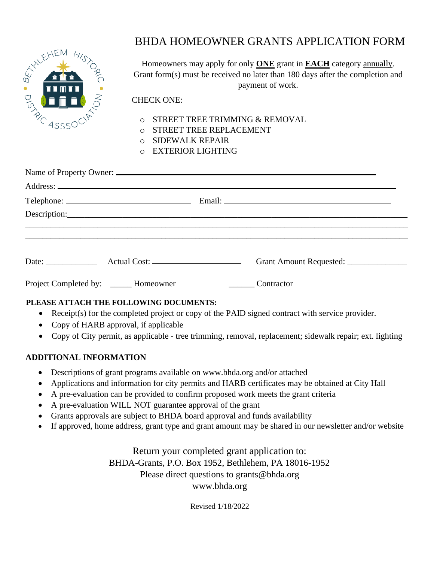

# BHDA HOMEOWNER GRANTS APPLICATION FORM

Homeowners may apply for only **ONE** grant in **EACH** category annually. Grant form(s) must be received no later than 180 days after the completion and payment of work.

### CHECK ONE:

- o STREET TREE TRIMMING & REMOVAL
- o STREET TREE REPLACEMENT
- o SIDEWALK REPAIR
- o EXTERIOR LIGHTING

|                                       |  |            | Grant Amount Requested: _________________ |  |
|---------------------------------------|--|------------|-------------------------------------------|--|
| Project Completed by: _____ Homeowner |  | Contractor |                                           |  |

## **PLEASE ATTACH THE FOLLOWING DOCUMENTS:**

- Receipt(s) for the completed project or copy of the PAID signed contract with service provider.
- Copy of HARB approval, if applicable
- Copy of City permit, as applicable tree trimming, removal, replacement; sidewalk repair; ext. lighting

## **ADDITIONAL INFORMATION**

- Descriptions of grant programs available on [www.bhda.org](http://www.bhda.org/) and/or attached
- Applications and information for city permits and HARB certificates may be obtained at City Hall
- A pre-evaluation can be provided to confirm proposed work meets the grant criteria
- A pre-evaluation WILL NOT guarantee approval of the grant
- Grants approvals are subject to BHDA board approval and funds availability
- If approved, home address, grant type and grant amount may be shared in our newsletter and/or website

Return your completed grant application to: BHDA-Grants, P.O. Box 1952, Bethlehem, PA 18016-1952 Please direct questions to [grants@bhda.org](mailto:grants@bhda.org) [www.bhda.org](http://www.bhda.org/)

Revised 1/18/2022